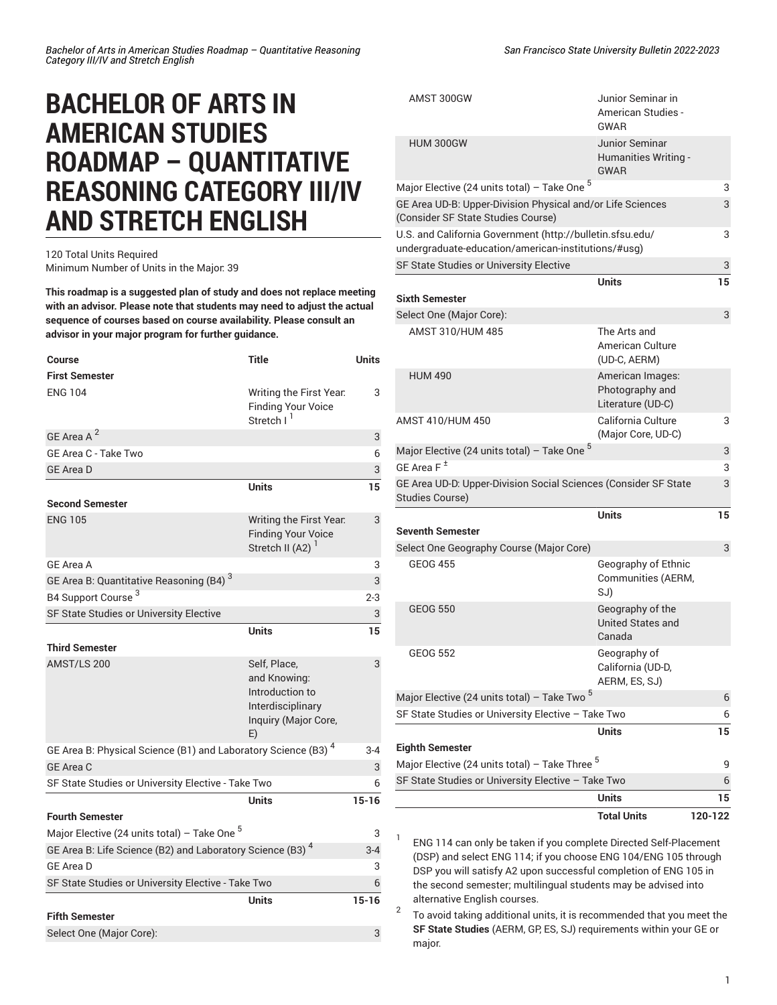## **BACHELOR OF ARTS IN AMERICAN STUDIES ROADMAP – QUANTITATIVE REASONING CATEGORY III/IV AND STRETCH ENGLISH**

## 120 Total Units Required Minimum Number of Units in the Major: 39

**This roadmap is a suggested plan of study and does not replace meeting with an advisor. Please note that students may need to adjust the actual sequence of courses based on course availability. Please consult an advisor in your major program for further guidance.**

| <b>Course</b>                                                             | <b>Title</b>                                                                                       | <b>Units</b> |
|---------------------------------------------------------------------------|----------------------------------------------------------------------------------------------------|--------------|
| <b>First Semester</b>                                                     |                                                                                                    |              |
| <b>ENG 104</b>                                                            | Writing the First Year.<br><b>Finding Your Voice</b><br>Stretch I <sup>1</sup>                     | 3            |
| GE Area A <sup>2</sup>                                                    |                                                                                                    | 3            |
| GE Area C - Take Two                                                      |                                                                                                    | 6            |
| <b>GE Area D</b>                                                          |                                                                                                    | 3            |
|                                                                           | <b>Units</b>                                                                                       | 15           |
| <b>Second Semester</b>                                                    |                                                                                                    |              |
| <b>ENG 105</b>                                                            | Writing the First Year.<br><b>Finding Your Voice</b><br>Stretch II (A2) $1$                        | 3            |
| <b>GE Area A</b>                                                          |                                                                                                    | 3            |
| GE Area B: Quantitative Reasoning (B4) <sup>3</sup>                       |                                                                                                    | 3            |
| B4 Support Course <sup>3</sup>                                            |                                                                                                    | $2 - 3$      |
| SF State Studies or University Elective                                   |                                                                                                    | 3            |
|                                                                           | <b>Units</b>                                                                                       | 15           |
| <b>Third Semester</b>                                                     |                                                                                                    |              |
| AMST/LS 200                                                               | Self, Place,<br>and Knowing:<br>Introduction to<br>Interdisciplinary<br>Inquiry (Major Core,<br>E) | 3            |
| GE Area B: Physical Science (B1) and Laboratory Science (B3) <sup>4</sup> |                                                                                                    | $3 - 4$      |
| <b>GE Area C</b>                                                          |                                                                                                    | 3            |
| SF State Studies or University Elective - Take Two                        |                                                                                                    | 6            |
|                                                                           | Units                                                                                              | $15 - 16$    |
| <b>Fourth Semester</b>                                                    |                                                                                                    |              |
| Major Elective (24 units total) – Take One <sup>5</sup>                   |                                                                                                    | 3            |
| GE Area B: Life Science (B2) and Laboratory Science (B3) 4                |                                                                                                    | $3 - 4$      |
| <b>GE Area D</b>                                                          |                                                                                                    | 3            |
| SF State Studies or University Elective - Take Two                        |                                                                                                    |              |
|                                                                           | Units                                                                                              | $15 - 16$    |
| <b>Fifth Semester</b>                                                     |                                                                                                    |              |
| Select One (Major Core):                                                  |                                                                                                    | 3            |

|                                                                                                                  | <b>Total Units</b>                                       | 120-122 |
|------------------------------------------------------------------------------------------------------------------|----------------------------------------------------------|---------|
|                                                                                                                  | <b>Units</b>                                             | 15      |
| SF State Studies or University Elective - Take Two<br>6                                                          |                                                          |         |
| Major Elective (24 units total) – Take Three <sup>5</sup><br>9                                                   |                                                          |         |
| <b>Eighth Semester</b>                                                                                           | Units                                                    | 15      |
| SF State Studies or University Elective - Take Two                                                               |                                                          | 6       |
| Major Elective (24 units total) – Take Two <sup>5</sup>                                                          |                                                          | 6       |
| <b>GEOG 552</b>                                                                                                  | Geography of<br>California (UD-D,<br>AERM, ES, SJ)       |         |
| <b>GEOG 550</b>                                                                                                  | Geography of the<br>United States and<br>Canada          |         |
| Select One Geography Course (Major Core)<br><b>GEOG 455</b>                                                      | Geography of Ethnic<br>Communities (AERM,<br>SJ)         | 3       |
| <b>Seventh Semester</b>                                                                                          |                                                          |         |
|                                                                                                                  | <b>Units</b>                                             | 15      |
| GE Area UD-D: Upper-Division Social Sciences (Consider SF State<br><b>Studies Course)</b>                        |                                                          | 3       |
| GE Area F $^{\pm}$                                                                                               |                                                          | 3       |
| Major Elective (24 units total) – Take One <sup>5</sup>                                                          |                                                          | 3       |
| AMST 410/HUM 450                                                                                                 | California Culture<br>(Major Core, UD-C)                 | 3       |
| <b>HUM 490</b>                                                                                                   | American Images:<br>Photography and<br>Literature (UD-C) |         |
| AMST 310/HUM 485                                                                                                 | The Arts and<br>American Culture<br>(UD-C, AERM)         |         |
| Select One (Major Core):                                                                                         |                                                          | 3       |
| <b>Sixth Semester</b>                                                                                            | Units                                                    | 15      |
| SF State Studies or University Elective                                                                          |                                                          | 3       |
| U.S. and California Government (http://bulletin.sfsu.edu/<br>undergraduate-education/american-institutions/#usg) |                                                          | 3       |
| GE Area UD-B: Upper-Division Physical and/or Life Sciences<br>(Consider SF State Studies Course)                 |                                                          | 3       |
| Major Elective (24 units total) – Take One <sup>5</sup>                                                          |                                                          | 3       |
| <b>HUM 300GW</b>                                                                                                 | Junior Seminar<br>Humanities Writing -<br><b>GWAR</b>    |         |
| AMST 300GW                                                                                                       | Junior Seminar in<br><b>American Studies -</b><br>GWAR   |         |

1 ENG 114 can only be taken if you complete Directed Self-Placement (DSP) and select ENG 114; if you choose ENG 104/ENG 105 through DSP you will satisfy A2 upon successful completion of ENG 105 in the second semester; multilingual students may be advised into alternative English courses.

2 To avoid taking additional units, it is recommended that you meet the **SF State Studies** (AERM, GP, ES, SJ) requirements within your GE or major.